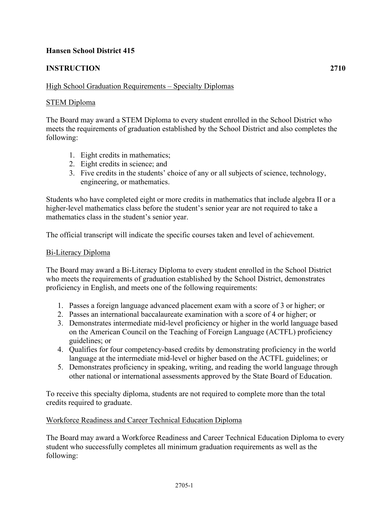## **Hansen School District 415**

# **INSTRUCTION 2710**

## High School Graduation Requirements – Specialty Diplomas

### STEM Diploma

The Board may award a STEM Diploma to every student enrolled in the School District who meets the requirements of graduation established by the School District and also completes the following:

- 1. Eight credits in mathematics;
- 2. Eight credits in science; and
- 3. Five credits in the students' choice of any or all subjects of science, technology, engineering, or mathematics.

Students who have completed eight or more credits in mathematics that include algebra II or a higher-level mathematics class before the student's senior year are not required to take a mathematics class in the student's senior year.

The official transcript will indicate the specific courses taken and level of achievement.

#### Bi-Literacy Diploma

The Board may award a Bi-Literacy Diploma to every student enrolled in the School District who meets the requirements of graduation established by the School District, demonstrates proficiency in English, and meets one of the following requirements:

- 1. Passes a foreign language advanced placement exam with a score of 3 or higher; or
- 2. Passes an international baccalaureate examination with a score of 4 or higher; or
- 3. Demonstrates intermediate mid-level proficiency or higher in the world language based on the American Council on the Teaching of Foreign Language (ACTFL) proficiency guidelines; or
- 4. Qualifies for four competency-based credits by demonstrating proficiency in the world language at the intermediate mid-level or higher based on the ACTFL guidelines; or
- 5. Demonstrates proficiency in speaking, writing, and reading the world language through other national or international assessments approved by the State Board of Education.

To receive this specialty diploma, students are not required to complete more than the total credits required to graduate.

#### Workforce Readiness and Career Technical Education Diploma

The Board may award a Workforce Readiness and Career Technical Education Diploma to every student who successfully completes all minimum graduation requirements as well as the following: